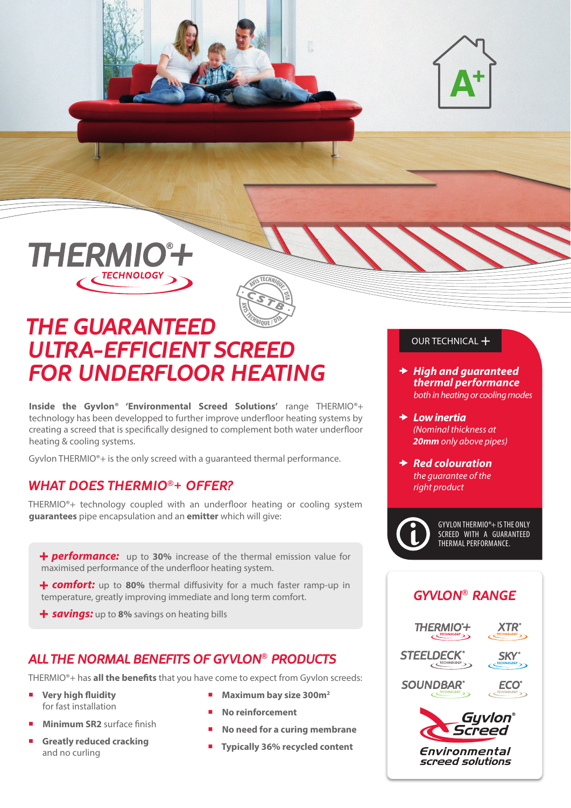





# *THE GUARANTEED ULTRA-EFFICIENT SCREED FOR UNDERFLOOR HEATING*

**Inside the Gyvlon® 'Environmental Screed Solutions'** range THERMIO®+ technology has been developped to further improve underfloor heating systems by creating a screed that is specifically designed to complement both water underfloor heating & cooling systems.

Gyvlon THERMIO®+ is the only screed with a guaranteed thermal performance.

### *WHAT DOES THERMIO®+ OFFER?*

THERMIO®+ technology coupled with an underfloor heating or cooling system **guarantees** pipe encapsulation and an **emitter** which will give:

*+ performance:* up to **30%** increase of the thermal emission value for maximised performance of the underfloor heating system.

*+ comfort:* up to **80%** thermal diffusivity for a much faster ramp-up in temperature, greatly improving immediate and long term comfort.

*+ savings:* up to **8%** savings on heating bills

### *ALL THE NORMAL BENEFITS OF GYVLON® PRODUCTS*

THERMIO®+ has **all the benefits** that you have come to expect from Gyvlon screeds:

- ¡ **Very high fluidity** for fast installation
- **Minimum SR2** surface finish
- **Greatly reduced cracking** and no curling
- ¡ **Maximum bay size 300m2**
- No reinforcement
- ¡ **No need for a curing membrane**
- ¡ **Typically 36% recycled content**

#### OUR TECHNICAL +

- *High and guaranteed thermal performance both in heating or cooling modes*
- *Low inertia (Nominal thickness at 20mm only above pipes)*
- **★ Red colouration** *the guarantee of the right product*



GYVLON THERMIO®+ IS THE ONLY SCREED WITH A GUARANTEED THERMAL PERFORMANCE.

### *GYVLON® RANGE*